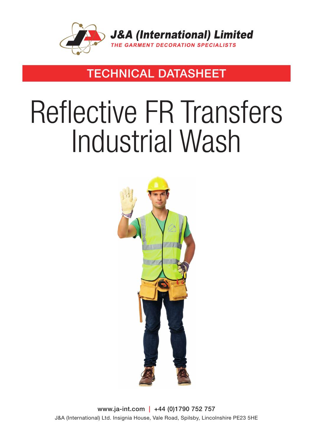

### TECHNICAL DATASHEET

# Reflective FR Transfers Industrial Wash



www.ja-int.com | +44 (0)1790 752 757 J&A (International) Ltd. Insignia House, Vale Road, Spilsby, Lincolnshire PE23 5HE